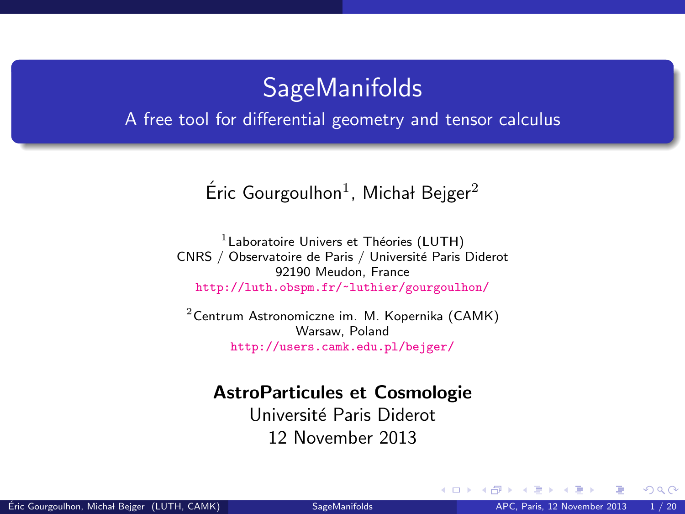### **SageManifolds**

#### <span id="page-0-1"></span>A free tool for differential geometry and tensor calculus

### Éric Gourgoulhon<sup>1</sup>, Michał Bejger<sup>2</sup>

 $<sup>1</sup>$  Laboratoire Univers et Théories (LUTH)</sup> CNRS / Observatoire de Paris / Université Paris Diderot 92190 Meudon, France <http://luth.obspm.fr/~luthier/gourgoulhon/>

 $2$ [Centrum Astronomiczne im. M. Kopernika \(CAMK\)](http://www.camk.edu.pl) Warsaw, Poland <http://users.camk.edu.pl/bejger/>

#### AstroParticules et Cosmologie

Université Paris Diderot 12 November 2013

<span id="page-0-0"></span> $\Omega$ 

**← ロ ▶ → イ 同**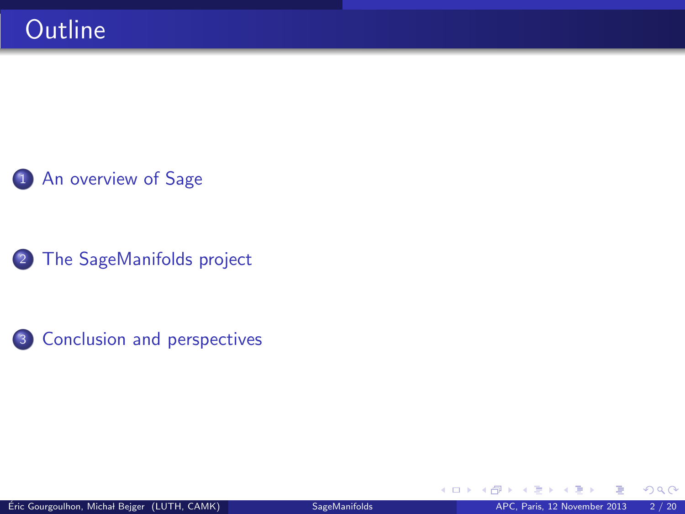### 1 [An overview of Sage](#page-2-0)

2 [The SageManifolds project](#page-7-0)



4 0 8 4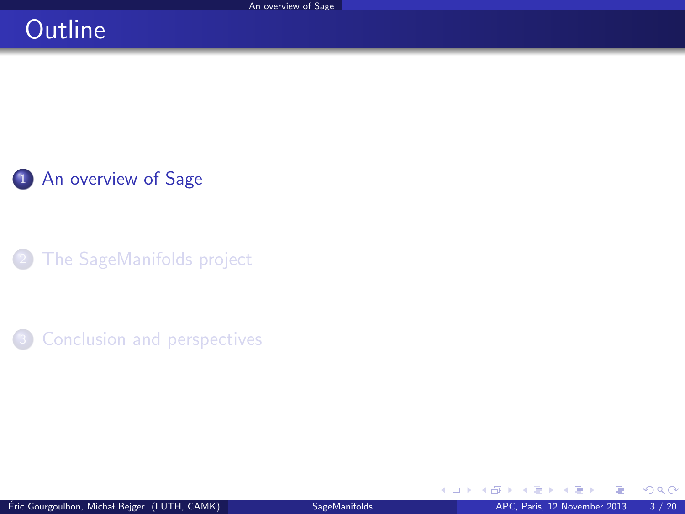## **Outline**

1 [An overview of Sage](#page-2-0)

[The SageManifolds project](#page-7-0)

<sup>3</sup> [Conclusion and perspectives](#page-18-0)

<span id="page-2-0"></span>(□) (@)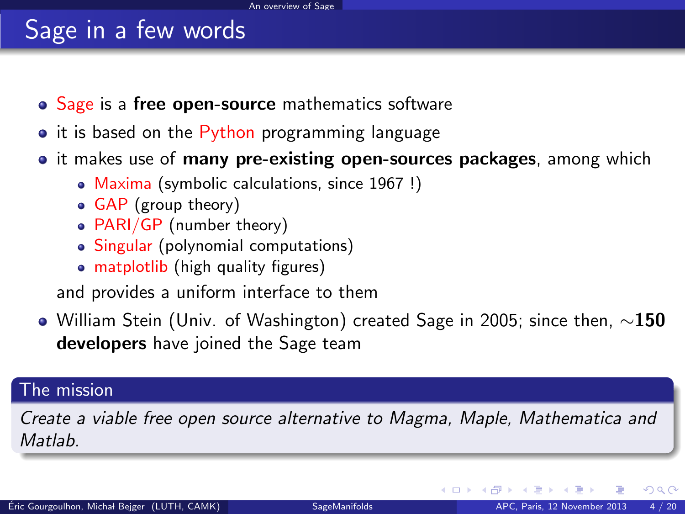# Sage in a few words

- Sage is a free open-source mathematics software
- it is based on the Python programming language
- it makes use of **many pre-existing open-sources packages**, among which
	- Maxima (symbolic calculations, since 1967 !)
	- GAP (group theory)
	- PARI/GP (number theory)
	- Singular (polynomial computations)
	- matplotlib (high quality figures)

and provides a uniform interface to them

 $\bullet$  William Stein (Univ. of Washington) created Sage in 2005; since then,  $\sim$ 150 developers have joined the Sage team

#### The mission

Create a viable free open source alternative to Magma, Maple, Mathematica and **Matlah** 

<span id="page-3-0"></span> $\Omega$ 

( □ ) ( <sub>□</sub> ) ( · · · ·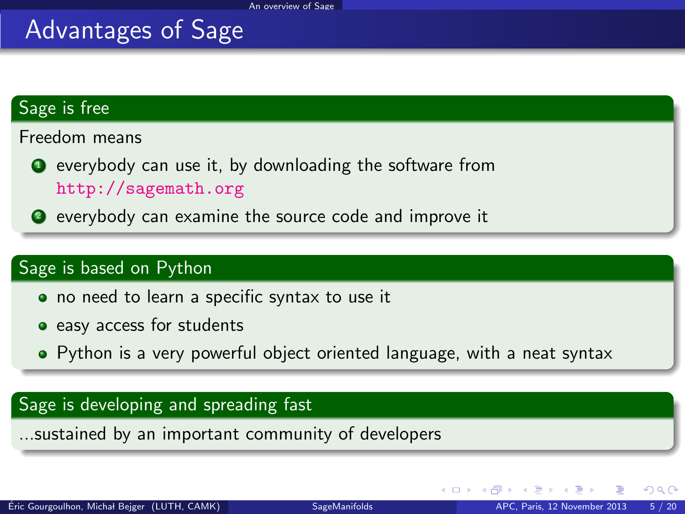## Advantages of Sage

#### Sage is free

Freedom means

- **•** everybody can use it, by downloading the software from <http://sagemath.org>
- <sup>2</sup> everybody can examine the source code and improve it

#### Sage is based on Python

- no need to learn a specific syntax to use it
- easy access for students
- Python is a very powerful object oriented language, with a neat syntax

#### Sage is developing and spreading fast

...sustained by an important community of developers

<span id="page-4-0"></span> $\Omega$ 

**←ロ ▶ ← イ 同 →**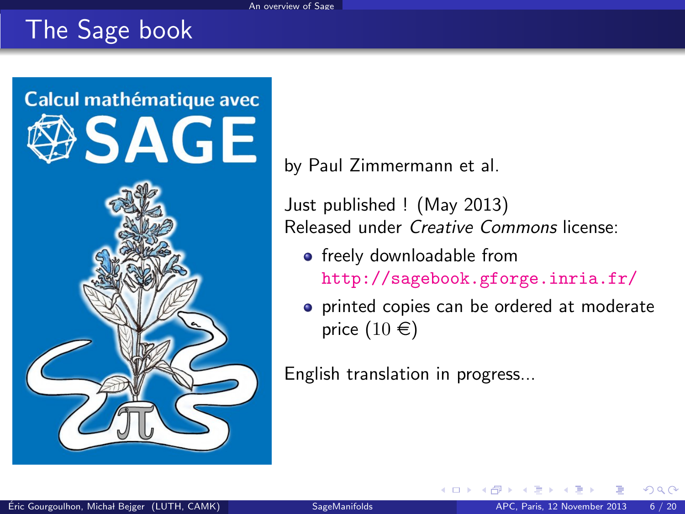# The Sage book



by Paul Zimmermann et al.

Just published ! (May 2013) Released under Creative Commons license:

• freely downloadable from <http://sagebook.gforge.inria.fr/>

4 0 3 4

**•** printed copies can be ordered at moderate price  $(10 \in)$ 

English translation in progress...

<span id="page-5-0"></span>つへへ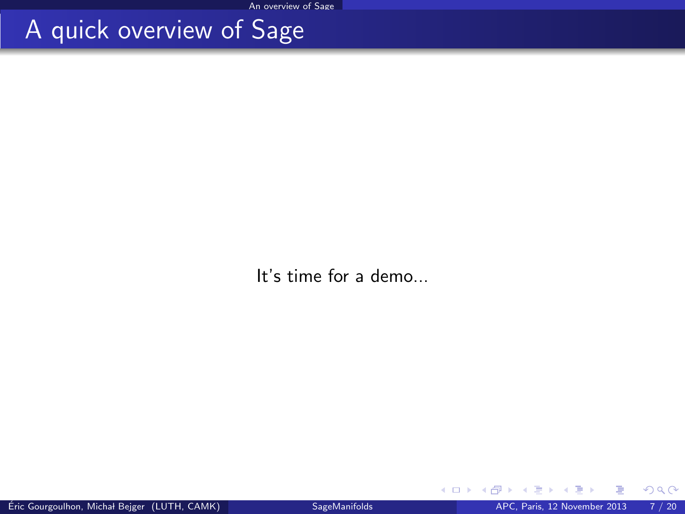## A quick overview of Sage

It's time for a demo...

<span id="page-6-0"></span>э  $\sim$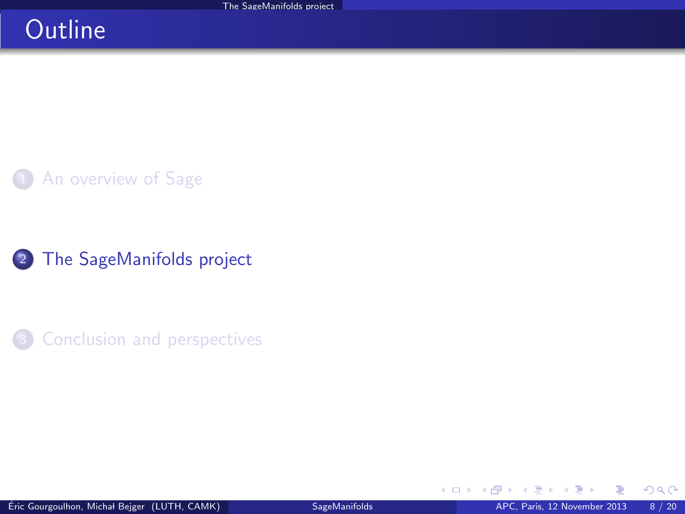## **Outline**

### [An overview of Sage](#page-2-0)

2 [The SageManifolds project](#page-7-0)

<sup>3</sup> [Conclusion and perspectives](#page-18-0)

<span id="page-7-0"></span>+ □ ▶ + dP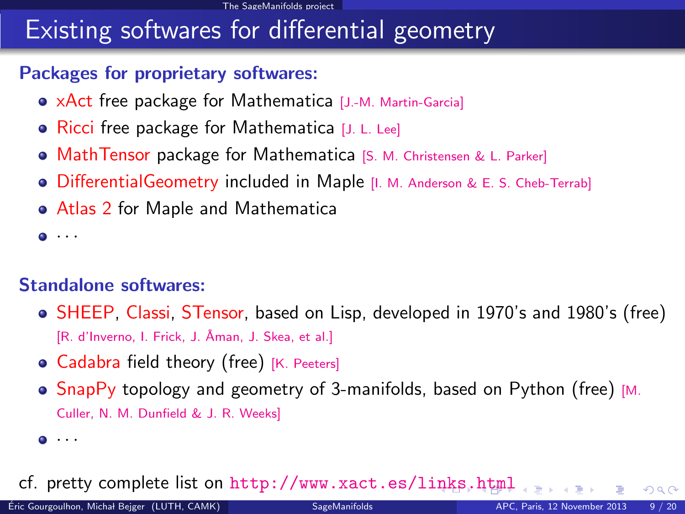#### [The SageManifolds project](#page-8-0)

## Existing softwares for differential geometry

#### Packages for proprietary softwares:

- xAct free package for Mathematica [\[J.-M. Martin-Garcia\]](#page-0-1)
- Ricci free package for Mathematica [\[J. L. Lee\]](#page-0-1)
- **MathTensor package for Mathematica [\[S. M. Christensen & L. Parker\]](#page-0-1)**
- **DifferentialGeometry included in Maple [\[I. M. Anderson & E. S. Cheb-Terrab\]](#page-0-1)**
- Atlas 2 for Maple and Mathematica

 $\bullet$   $\cdot$   $\cdot$ 

#### Standalone softwares:

- SHEEP, Classi, STensor, based on Lisp, developed in 1970's and 1980's (free) [R. d'Inverno, I. Frick, J. Åman, J. Skea, et al.]
- Cadabra field theory (free) [\[K. Peeters\]](#page-0-1)
- $\bullet$  SnapPy topology and geometry of 3-manifolds, based on Python (free) [\[M.](#page-0-1) [Culler, N. M. Dunfield & J. R. Weeks\]](#page-0-1)
- <span id="page-8-0"></span> $\bullet$   $\cdot$   $\cdot$   $\cdot$

cf. pretty complete list on <http://www.xact.es/links.html>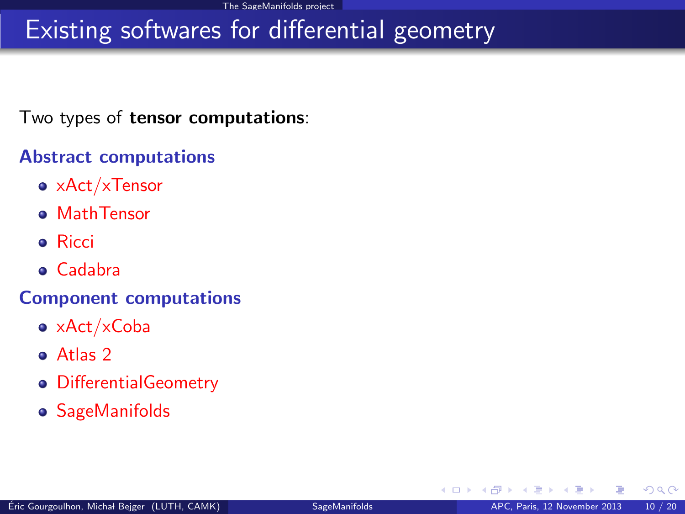# Existing softwares for differential geometry

Two types of tensor computations:

#### Abstract computations

- xAct/xTensor
- **o** MathTensor
- **•** Ricci
- Cadabra

#### Component computations

- xAct/xCoba
- Atlas 2
- DifferentialGeometry
- SageManifolds

<span id="page-9-0"></span> $\Omega$ 

**4 ロ 4 伊**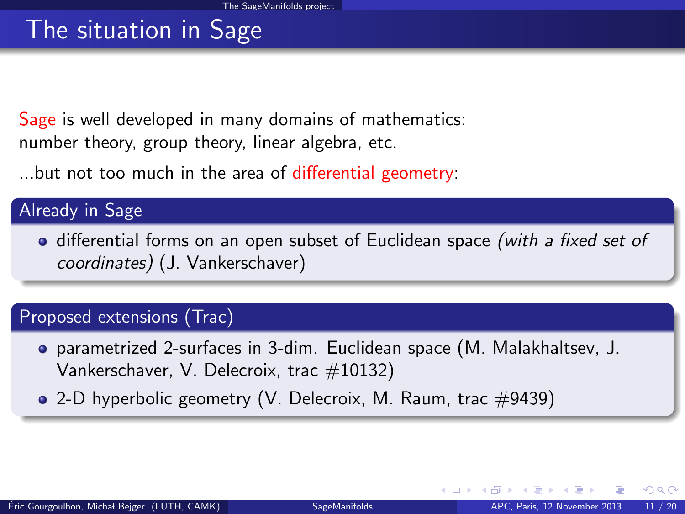# The situation in Sage

Sage is well developed in many domains of mathematics: number theory, group theory, linear algebra, etc.

...but not too much in the area of differential geometry:

#### Already in Sage

• differential forms on an open subset of Euclidean space (with a fixed set of coordinates) (J. Vankerschaver)

#### Proposed extensions (Trac)

- parametrized 2-surfaces in 3-dim. Euclidean space (M. Malakhaltsev, J. Vankerschaver, V. Delecroix, trac #10132)
- $\bullet$  2-D hyperbolic geometry (V. Delecroix, M. Raum, trac  $\#9439$ )

<span id="page-10-0"></span> $\Omega$ 

**←ロ ▶ ← イ 同 →**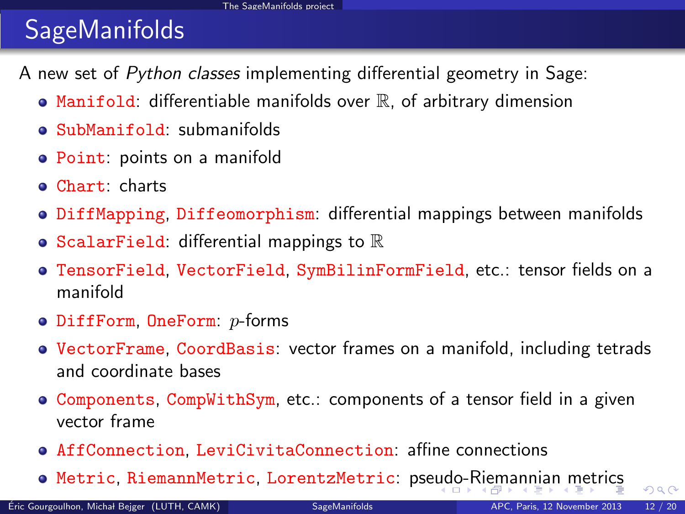# **SageManifolds**

A new set of Python classes implementing differential geometry in Sage:

- $\bullet$  Manifold: differentiable manifolds over  $\mathbb R$ , of arbitrary dimension
- SubManifold: submanifolds
- Point: points on a manifold
- Chart: charts
- **DiffMapping, Diffeomorphism: differential mappings between manifolds**
- ScalarField: differential mappings to  $\mathbb R$
- TensorField, VectorField, SymBilinFormField, etc.: tensor fields on a manifold
- $\bullet$  DiffForm, OneForm:  $p$ -forms
- VectorFrame, CoordBasis: vector frames on a manifold, including tetrads and coordinate bases
- Components, CompWithSym, etc.: components of a tensor field in a given vector frame
- AffConnection, LeviCivitaConnection: affine connections
- <span id="page-11-0"></span>**• Metric, RiemannMetric, LorentzMetric: pse[ud](#page-10-0)[o-R](#page-12-0)[i](#page-10-0)[em](#page-11-0)[a](#page-12-0)[n](#page-18-0)n[ia](#page-17-0)n[m](#page-7-0)[e](#page-17-0)[t](#page-18-0)[ric](#page-0-0)[s](#page-19-0)**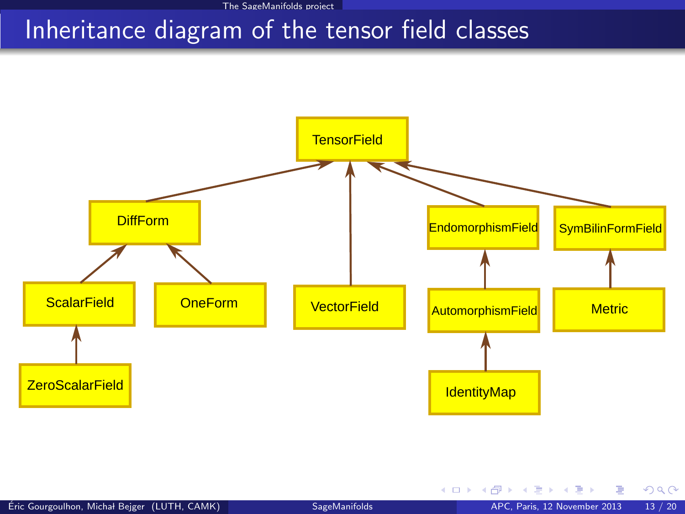[The SageManifolds project](#page-12-0)

### Inheritance diagram of the tensor field classes



<span id="page-12-0"></span> $299$ 

メロメ メ御き メミメ メミメ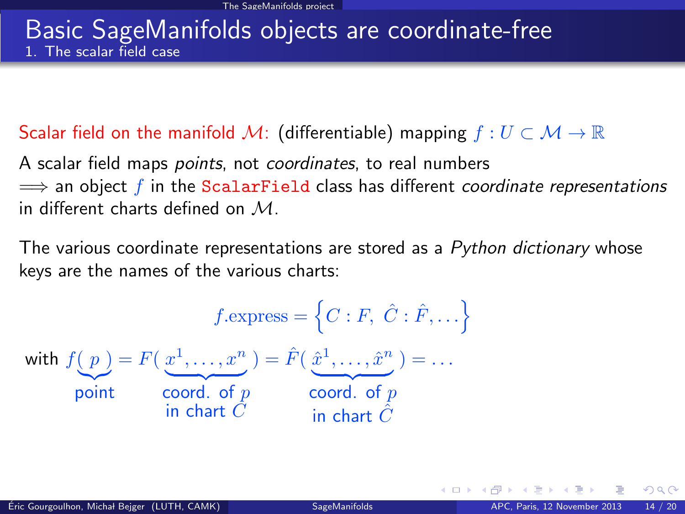#### Basic SageManifolds objects are coordinate-free 1. The scalar field case

#### Scalar field on the manifold M: (differentiable) mapping  $f: U \subset \mathcal{M} \to \mathbb{R}$

A scalar field maps *points*, not *coordinates*, to real numbers  $\implies$  an object f in the ScalarField class has different coordinate representations in different charts defined on  $M$ .

The various coordinate representations are stored as a Python dictionary whose keys are the names of the various charts:

$$
f.\text{express} = \left\{ C : F, \ \hat{C} : \hat{F}, \dots \right\}
$$
\n
$$
\text{with } f(p) = F(\underbrace{x^1, \dots, x^n}_{\text{point}}) = \hat{F}(\underbrace{\hat{x}^1, \dots, \hat{x}^n}_{\text{coord. of } p}) = \dots
$$
\n
$$
\underbrace{\text{word. of } p}_{\text{in chart } \hat{C}}
$$

<span id="page-13-0"></span> $\Omega$ 

**∢ ロ ▶ - ∢ r P ▶ - ∢**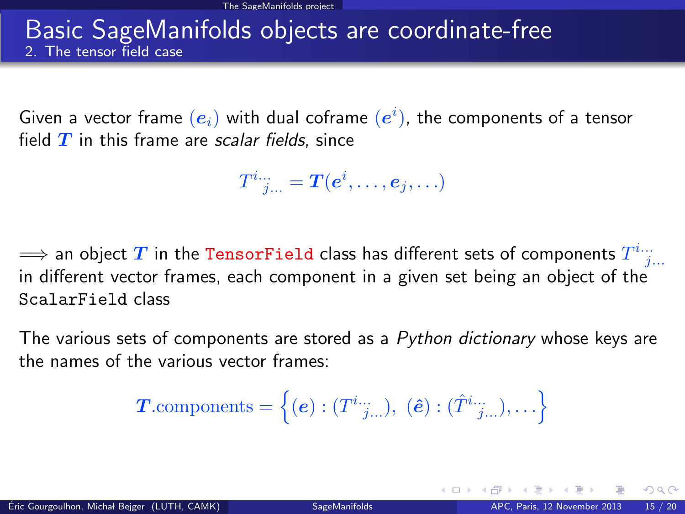#### Basic SageManifolds objects are coordinate-free 2. The tensor field case

Given a vector frame  $\left(\boldsymbol{e}_i\right)$  with dual coframe  $\left(\boldsymbol{e}^i\right)$ , the components of a tensor field  $T$  in this frame are scalar fields, since

 $T^i{}_{j...}^{\ldots}= \bm{T}(\bm{e}^i,\ldots,\bm{e}_j,\ldots)$ 

 $\Longrightarrow$  an object  $T$  in the TensorField class has different sets of components  $T^{i...}_{~~j...}$ in different vector frames, each component in a given set being an object of the ScalarField class

The various sets of components are stored as a Python dictionary whose keys are the names of the various vector frames:

<span id="page-14-0"></span> $\boldsymbol{T}.\text{components} = \left\{ (\boldsymbol{e}): (T^{i...}_{-j...}), \ (\boldsymbol{\hat{e}}): (\hat{T}^{i...}_{-j...}), \ldots \right\}$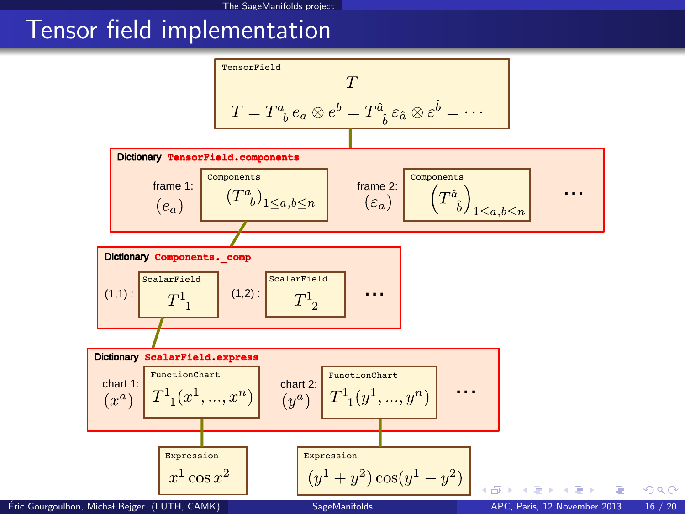### Tensor field implementation

<span id="page-15-0"></span>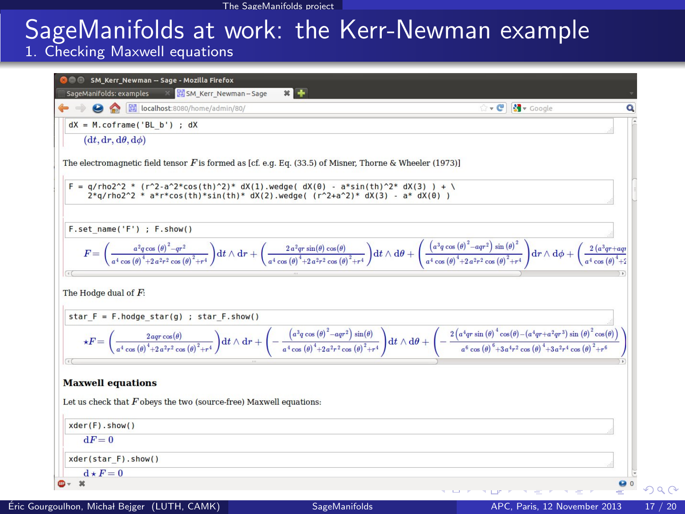# SageManifolds at work: the Kerr-Newman example

1. Checking Maxwell equations

<span id="page-16-0"></span>

|                                                                                                            | $\cdot$ $\circ$ $\cdot$ $\bullet$ Google                                                                                                                                                                                                                                                                                                                                                                                                                       |
|------------------------------------------------------------------------------------------------------------|----------------------------------------------------------------------------------------------------------------------------------------------------------------------------------------------------------------------------------------------------------------------------------------------------------------------------------------------------------------------------------------------------------------------------------------------------------------|
| $dX = M.\text{coframe('BL b')}; dX$                                                                        |                                                                                                                                                                                                                                                                                                                                                                                                                                                                |
| $(dt, dr, d\theta, d\phi)$                                                                                 |                                                                                                                                                                                                                                                                                                                                                                                                                                                                |
| The electromagnetic field tensor $F$ is formed as [cf. e.g. Eq. (33.5) of Misner, Thorne & Wheeler (1973)] |                                                                                                                                                                                                                                                                                                                                                                                                                                                                |
| $F = q/rho2^2 * (r^2-a^2*cos(th)^2)*dX(1)$ .wedge(dX(0) - a*sin(th)^2* dX(3) ) + \                         |                                                                                                                                                                                                                                                                                                                                                                                                                                                                |
| $2 * q$ /rho $2^2 * a * r * cos(th) * sin(th) * dX(2)$ .wedge((r^2+a^2)* dX(3) - a* dX(0))                 |                                                                                                                                                                                                                                                                                                                                                                                                                                                                |
|                                                                                                            |                                                                                                                                                                                                                                                                                                                                                                                                                                                                |
| F.set name('F') ; F.show()                                                                                 |                                                                                                                                                                                                                                                                                                                                                                                                                                                                |
|                                                                                                            |                                                                                                                                                                                                                                                                                                                                                                                                                                                                |
|                                                                                                            | $F=\bigg(\frac{a^2q\cos\left(\theta\right)^2-qr^2}{a^4\cos\left(\theta\right)^4+2a^2r^2\cos\left(\theta\right)^2+r^4}\bigg)\mathrm{d}t\wedge\mathrm{d}r+\bigg(\frac{2\,a^2q\sin\left(\theta\cos\left(\theta\right)\right)}{a^4\cos\left(\theta\right)^4+2a^2r^2\cos\left(\theta\right)^2+r^4}\bigg)\mathrm{d}t\wedge\mathrm{d}\theta+\bigg(\frac{\big(a^2q\cos\left(\theta\right)^2-aqr^2\big)\sin\left(\theta\right)^2}{a^4\cos\left(\theta\right)^4+2a^2r^2$ |
|                                                                                                            |                                                                                                                                                                                                                                                                                                                                                                                                                                                                |
|                                                                                                            |                                                                                                                                                                                                                                                                                                                                                                                                                                                                |
| The Hodge dual of $F$ :                                                                                    |                                                                                                                                                                                                                                                                                                                                                                                                                                                                |
|                                                                                                            |                                                                                                                                                                                                                                                                                                                                                                                                                                                                |
| star $F = F$ .hodge star(g) ; star $F$ .show()                                                             |                                                                                                                                                                                                                                                                                                                                                                                                                                                                |
|                                                                                                            |                                                                                                                                                                                                                                                                                                                                                                                                                                                                |
|                                                                                                            |                                                                                                                                                                                                                                                                                                                                                                                                                                                                |
|                                                                                                            | $\star F=\bigg(\frac{2\mathit{a} \varphi\mathit{r} \cos\left(\theta\right)}{\mathit{a}^{4} \cos\left(\theta\right)^{4}+x^{2}r^{2} \cos\left(\theta\right)^{2}+r^{4}}\bigg)\mathrm{d}t\wedge\mathrm{d}r+\bigg(-\frac{\big(\mathit{a}^{3} \varphi\mathit{c} \cos\left(\theta\right)^{2}-\mathit{a} \varphi^{2}\big)\,\sin(\theta)}{\mathit{a}^{4} \cos\left(\theta\right)^{4}+2\mathit{a}^{2}r^{2} \cos\left(\theta\right)^{3}+x^{2}r^{2} \cos\left(\theta\$     |
|                                                                                                            |                                                                                                                                                                                                                                                                                                                                                                                                                                                                |
| <b>Maxwell equations</b>                                                                                   |                                                                                                                                                                                                                                                                                                                                                                                                                                                                |
| Let us check that $F$ obeys the two (source-free) Maxwell equations:                                       |                                                                                                                                                                                                                                                                                                                                                                                                                                                                |
| xder(F) . show()                                                                                           |                                                                                                                                                                                                                                                                                                                                                                                                                                                                |
| $dF = 0$                                                                                                   |                                                                                                                                                                                                                                                                                                                                                                                                                                                                |
| xder(star F).show()                                                                                        |                                                                                                                                                                                                                                                                                                                                                                                                                                                                |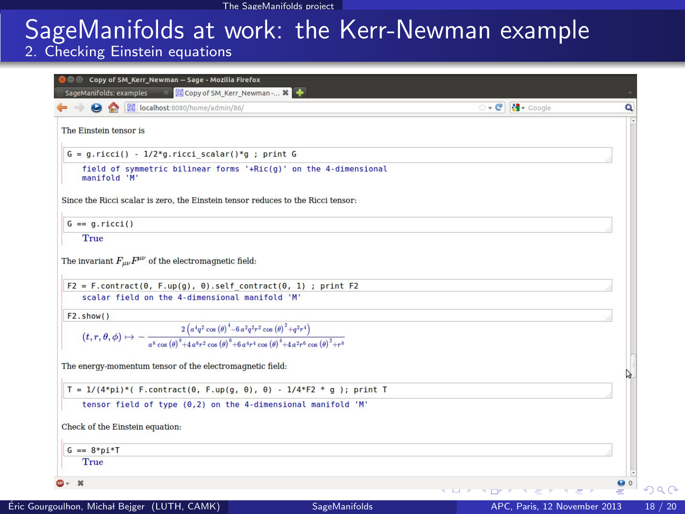# SageManifolds at work: the Kerr-Newman example

#### 2. Checking Einstein equations

<span id="page-17-0"></span>

| ocalhost:8080/home/admin/86/                                                                                                                                                                                      | $\cdot$ $\circ$ $\mathbb{R}$ $\cdot$ Google |  |
|-------------------------------------------------------------------------------------------------------------------------------------------------------------------------------------------------------------------|---------------------------------------------|--|
| The Einstein tensor is                                                                                                                                                                                            |                                             |  |
| $G = g.ricci() - 1/2*g.ricci scalar() *g ; print G$                                                                                                                                                               |                                             |  |
| field of symmetric bilinear forms '+Ric(g)' on the 4-dimensional<br>manifold 'M'                                                                                                                                  |                                             |  |
| Since the Ricci scalar is zero, the Einstein tensor reduces to the Ricci tensor:                                                                                                                                  |                                             |  |
| $G == q.ricci()$                                                                                                                                                                                                  |                                             |  |
| True                                                                                                                                                                                                              |                                             |  |
| The invariant $F_{\mu\nu}F^{\mu\nu}$ of the electromagnetic field:                                                                                                                                                |                                             |  |
| $F2 = F.\text{contract}(0, F.\text{up}(q), 0).$ self contract(0, 1) ; print F2<br>scalar field on the 4-dimensional manifold 'M'                                                                                  |                                             |  |
| F2.show()                                                                                                                                                                                                         |                                             |  |
| $(t,r,\theta,\phi)\mapsto-\frac{2\left(a^4q^2\cos{(\theta)}^4-6\,a^2q^2r^2\cos{(\theta)}^2+q^2r^4\right)}{a^8\cos{(\theta)}^8+4\,a^6r^2\cos{(\theta)}^6+6\,a^4r^4\cos{(\theta)}^4+4\,a^2r^6\cos{(\theta)}^2+r^8}$ |                                             |  |
| The energy-momentum tensor of the electromagnetic field:                                                                                                                                                          |                                             |  |
| T = $1/(4*pi)*($ F.contract(0, F.up(g, 0), 0) - $1/4*F2 * q$ ); print T                                                                                                                                           |                                             |  |
| tensor field of type (0,2) on the 4-dimensional manifold 'M'                                                                                                                                                      |                                             |  |
| Check of the Einstein equation:                                                                                                                                                                                   |                                             |  |
| $G == 8 * pi * T$                                                                                                                                                                                                 |                                             |  |
| True                                                                                                                                                                                                              |                                             |  |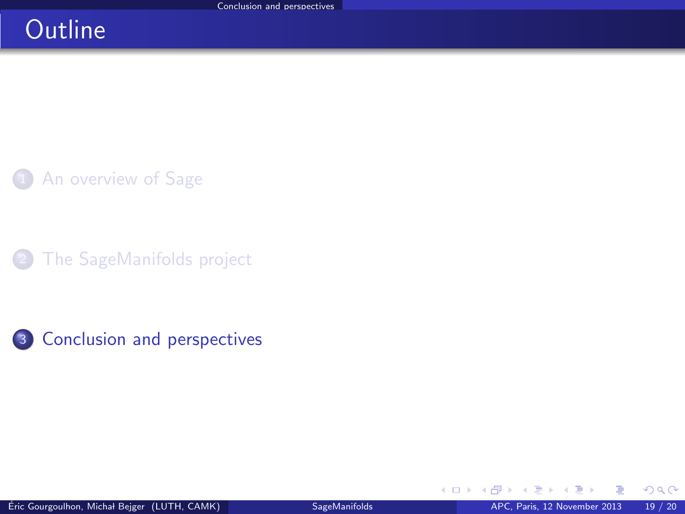## **Outline**

[An overview of Sage](#page-2-0)

[The SageManifolds project](#page-7-0)

3 [Conclusion and perspectives](#page-18-0)

<span id="page-18-0"></span>+ □ ▶ + dP